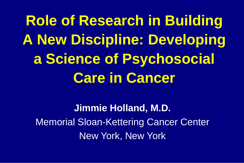**Role of Research in Building A New Discipline: Developing a Science of Psychosocial Care in Cancer**

**Jimmie Holland, M.D.** Memorial Sloan-Kettering Cancer Center New York, New York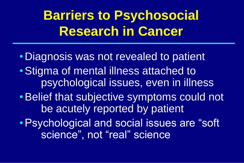## **Barriers to Psychosocial Research in Cancer**

• Diagnosis was not revealed to patient •Stigma of mental illness attached to psychological issues, even in illness •Belief that subjective symptoms could not be acutely reported by patient •Psychological and social issues are "soft science", not "real" science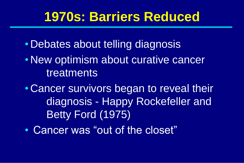#### **1970s: Barriers Reduced**

- Debates about telling diagnosis
- New optimism about curative cancer treatments
- Cancer survivors began to reveal their diagnosis - Happy Rockefeller and Betty Ford (1975)
- Cancer was "out of the closet"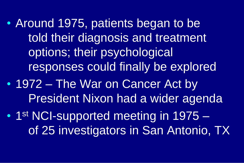• Around 1975, patients began to be told their diagnosis and treatment options; their psychological responses could finally be explored

• 1972 – The War on Cancer Act by President Nixon had a wider agenda

• 1st NCI-supported meeting in 1975 of 25 investigators in San Antonio, TX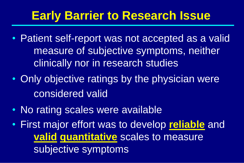#### **Early Barrier to Research Issue**

- Patient self-report was not accepted as a valid measure of subjective symptoms, neither clinically nor in research studies
- Only objective ratings by the physician were considered valid
- No rating scales were available
- First major effort was to develop **reliable** and **valid quantitative** scales to measure subjective symptoms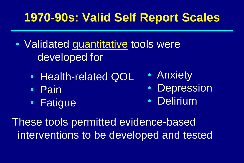#### **1970-90s: Valid Self Report Scales**

- Validated quantitative tools were developed for
	- Health-related QOL
	- Pain
	- Fatigue
- Anxiety
- Depression
- Delirium

These tools permitted evidence-based interventions to be developed and tested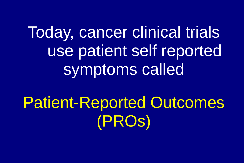Today, cancer clinical trials use patient self reported symptoms called

Patient-Reported Outcomes (PROs)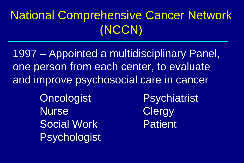### National Comprehensive Cancer Network (NCCN)

1997 – Appointed a multidisciplinary Panel, one person from each center, to evaluate and improve psychosocial care in cancer

> Oncologist Psychiatrist Nurse Clergy Social Work Patient Psychologist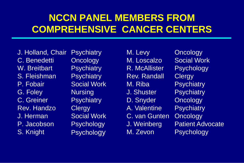#### **NCCN PANEL MEMBERS FROM COMPREHENSIVE CANCER CENTERS**

J. Holland, Chair C. Benedetti W. Breitbart S. Fleishman P. Fobair G. Foley C. Greiner Rev. Handzo J. Herman P. Jacobson S. Knight

**Psychiatry Oncology Psychiatry Psychiatry** Social Work **Nursing Psychiatry Clergy** Social Work **Psychology Psychology** 

M. Levy M. Loscalzo R. McAllister Rev. Randall M. Riba J. Shuster D. Snyder A. Valentine C. van Gunten J. Weinberg M. Zevon

**Oncology** Social Work **Psychology Clergy Psychiatry Psychiatry Oncology Psychiatry Oncology** Patient Advocate **Psychology**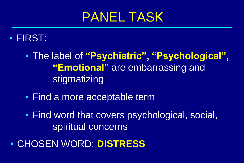### PANEL TASK

#### • FIRST:

- The label of **"Psychiatric", "Psychological", "Emotional"** are embarrassing and stigmatizing
- Find a more acceptable term
- Find word that covers psychological, social, spiritual concerns
- CHOSEN WORD: **DISTRESS**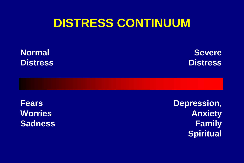#### **DISTRESS CONTINUUM**

**Normal Distress**

**Severe Distress**

**Fears Worries Sadness** **Depression, Anxiety Family Spiritual**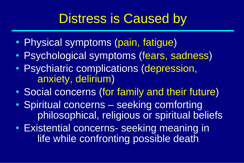## Distress is Caused by

- Physical symptoms (pain, fatigue)
- Psychological symptoms (fears, sadness)
- Psychiatric complications (depression, anxiety, delirium)
- Social concerns (for family and their future)
- Spiritual concerns seeking comforting philosophical, religious or spiritual beliefs
- Existential concerns- seeking meaning in life while confronting possible death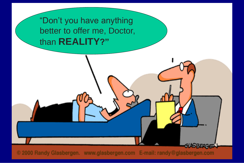"Don't you have anything better to offer me, Doctor, than **REALITY?"**

© 2000 Randy Glasbergen. www.glasbergen.com E-mail: randy@glasbergen.com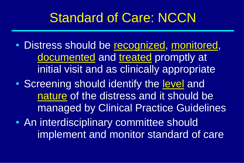## Standard of Care: NCCN

- Distress should be recognized, monitored, documented and treated promptly at initial visit and as clinically appropriate
- Screening should identify the level and nature of the distress and it should be managed by Clinical Practice Guidelines
- An interdisciplinary committee should implement and monitor standard of care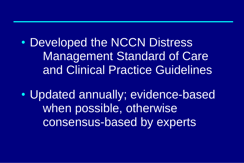• Developed the NCCN Distress Management Standard of Care and Clinical Practice Guidelines

• Updated annually; evidence-based when possible, otherwise consensus-based by experts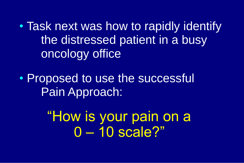• Task next was how to rapidly identify the distressed patient in a busy oncology office

• Proposed to use the successful Pain Approach:

> "How is your pain on a 0 – 10 scale?"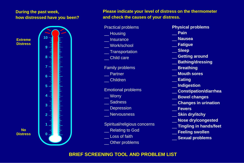#### **During the past week, how distressed have you been?**

**Extreme Distress**

**No**



#### **Please indicate your level of distress on the thermometer and check the causes of your distress.**

Practical problems \_\_ Housing **Insurance** \_\_ Work/school \_\_ Transportation \_\_ Child care Family problems \_\_ Partner \_\_ Children Emotional problems \_\_ Worry \_\_ Sadness **Depression** Nervousness Spiritual/religious concerns Relating to God \_\_ Other problems **10**

- \_\_ Loss of faith
- 
- **Physical problems**
- \_\_ **Pain**
- \_\_ **Nausea**
- \_\_ **Fatigue**
- \_\_ **Sleep**
- \_\_ **Getting around**
- \_\_ **Bathing/dressing**
- \_\_ **Breathing**
- \_\_ **Mouth sores**
- \_\_ **Eating**
- \_\_ **Indigestion**
- \_\_ **Constipation/diarrhea**
- \_\_ **Bowel changes**
- \_\_ **Changes in urination**
- \_\_ **Fevers**
- \_\_ **Skin dry/itchy**
- \_\_ **Nose dry/congested**
- \_\_ **Tingling in hands/feet**
- \_\_ **Feeling swollen**
- \_\_ **Sexual problems**

#### **BRIEF SCREENING TOOL AND PROBLEM LIST**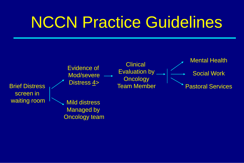# NCCN Practice Guidelines

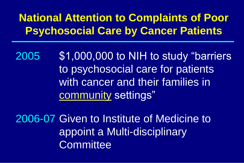#### **National Attention to Complaints of Poor Psychosocial Care by Cancer Patients**

2005 \$1,000,000 to NIH to study "barriers to psychosocial care for patients with cancer and their families in community settings"

2006-07 Given to Institute of Medicine to appoint a Multi-disciplinary **Committee**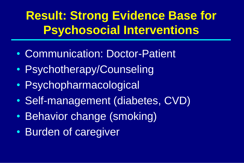## **Result: Strong Evidence Base for Psychosocial Interventions**

- Communication: Doctor-Patient
- Psychotherapy/Counseling
- Psychopharmacological
- Self-management (diabetes, CVD)
- Behavior change (smoking)
- Burden of caregiver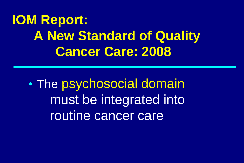**IOM Report: A New Standard of Quality Cancer Care: 2008**

• The psychosocial domain must be integrated into routine cancer care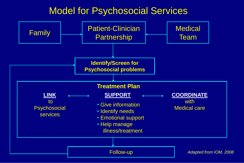#### Model for Psychosocial Services

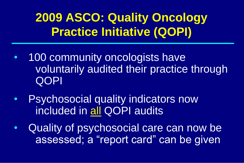### **2009 ASCO: Quality Oncology Practice Initiative (QOPI)**

- 100 community oncologists have voluntarily audited their practice through QOPI
- Psychosocial quality indicators now included in all QOPI audits
- Quality of psychosocial care can now be assessed; a "report card" can be given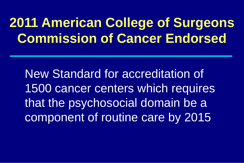## **2011 American College of Surgeons Commission of Cancer Endorsed**

New Standard for accreditation of 1500 cancer centers which requires that the psychosocial domain be a component of routine care by 2015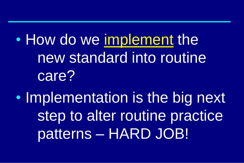• How do we implement the new standard into routine care?

• Implementation is the big next step to alter routine practice patterns – HARD JOB!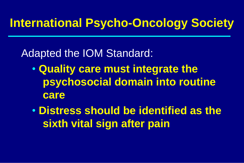#### **International Psycho-Oncology Society**

#### Adapted the IOM Standard:

- **Quality care must integrate the psychosocial domain into routine care**
- **Distress should be identified as the sixth vital sign after pain**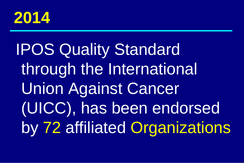

# IPOS Quality Standard through the International Union Against Cancer (UICC), has been endorsed by 72 affiliated Organizations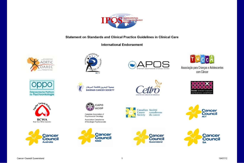

Statement on Standards and Clinical Practice Guidelines in Clinical Care

**International Endorsement** 

















Canadian Association of Psychosocial Oncology Association Canadienne d'Oncologie Psychosociale





CENTRO DE CÁNCER DE BRASÍLIA









**SA** 



Associação para Crianças e Adolescentes com Câncer

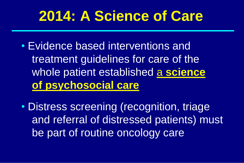## **2014: A Science of Care**

- Evidence based interventions and treatment guidelines for care of the whole patient established a **science of psychosocial care**
- Distress screening (recognition, triage and referral of distressed patients) must be part of routine oncology care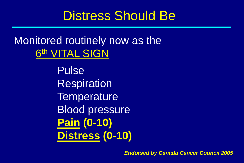### Distress Should Be

#### Monitored routinely now as the 6<sup>th</sup> VITAL SIGN

Pulse Respiration **Temperature** Blood pressure **Pain (0-10) Distress (0-10)**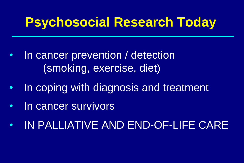## **Psychosocial Research Today**

- In cancer prevention / detection (smoking, exercise, diet)
- In coping with diagnosis and treatment
- In cancer survivors
- IN PALLIATIVE AND END-OF-LIFE CARE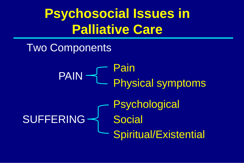## **Psychosocial Issues in Palliative Care**

#### Two Components

Pain L Physical symptoms **Psychological** Social Spiritual/Existential PAIN -SUFFERING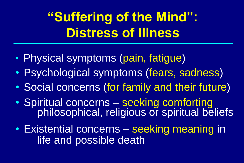## **"Suffering of the Mind": Distress of Illness**

- Physical symptoms (pain, fatigue)
- Psychological symptoms (fears, sadness)
- Social concerns (for family and their future)
- Spiritual concerns seeking comforting philosophical, religious or spiritual beliefs
- Existential concerns seeking meaning in life and possible death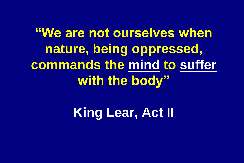**"We are not ourselves when nature, being oppressed, commands the mind to suffer with the body"**

**King Lear, Act II**